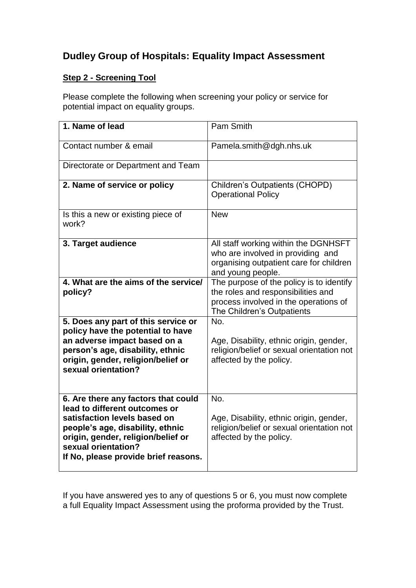## **Dudley Group of Hospitals: Equality Impact Assessment**

## **Step 2 - Screening Tool**

Please complete the following when screening your policy or service for potential impact on equality groups.

| 1. Name of lead                                                                                                                                                                                                                               | Pam Smith                                                                                                                                             |
|-----------------------------------------------------------------------------------------------------------------------------------------------------------------------------------------------------------------------------------------------|-------------------------------------------------------------------------------------------------------------------------------------------------------|
| Contact number & email                                                                                                                                                                                                                        | Pamela.smith@dgh.nhs.uk                                                                                                                               |
| Directorate or Department and Team                                                                                                                                                                                                            |                                                                                                                                                       |
| 2. Name of service or policy                                                                                                                                                                                                                  | Children's Outpatients (CHOPD)<br><b>Operational Policy</b>                                                                                           |
| Is this a new or existing piece of<br>work?                                                                                                                                                                                                   | <b>New</b>                                                                                                                                            |
| 3. Target audience                                                                                                                                                                                                                            | All staff working within the DGNHSFT<br>who are involved in providing and<br>organising outpatient care for children<br>and young people.             |
| 4. What are the aims of the service/<br>policy?                                                                                                                                                                                               | The purpose of the policy is to identify<br>the roles and responsibilities and<br>process involved in the operations of<br>The Children's Outpatients |
| 5. Does any part of this service or<br>policy have the potential to have<br>an adverse impact based on a<br>person's age, disability, ethnic<br>origin, gender, religion/belief or<br>sexual orientation?                                     | No.<br>Age, Disability, ethnic origin, gender,<br>religion/belief or sexual orientation not<br>affected by the policy.                                |
| 6. Are there any factors that could<br>lead to different outcomes or<br>satisfaction levels based on<br>people's age, disability, ethnic<br>origin, gender, religion/belief or<br>sexual orientation?<br>If No, please provide brief reasons. | No.<br>Age, Disability, ethnic origin, gender,<br>religion/belief or sexual orientation not<br>affected by the policy.                                |

If you have answered yes to any of questions 5 or 6, you must now complete a full Equality Impact Assessment using the proforma provided by the Trust.